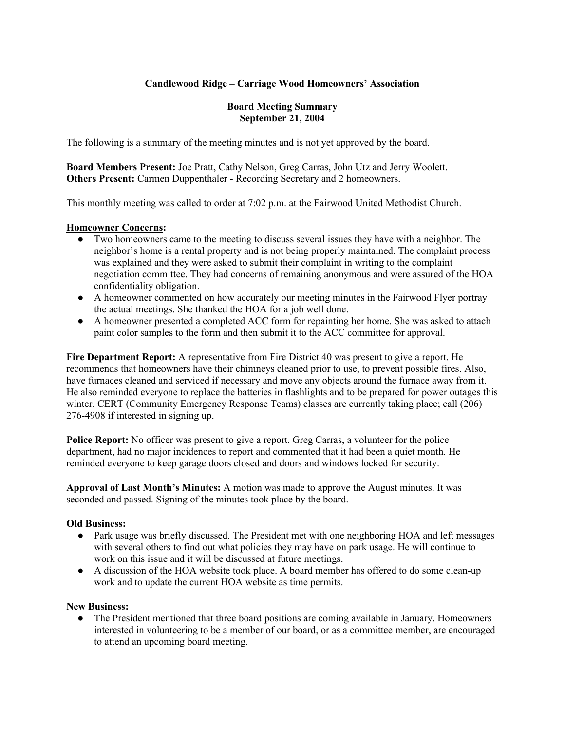## **Candlewood Ridge – Carriage Wood Homeowners' Association**

### **Board Meeting Summary September 21, 2004**

The following is a summary of the meeting minutes and is not yet approved by the board.

**Board Members Present:** Joe Pratt, Cathy Nelson, Greg Carras, John Utz and Jerry Woolett. **Others Present:** Carmen Duppenthaler - Recording Secretary and 2 homeowners.

This monthly meeting was called to order at 7:02 p.m. at the Fairwood United Methodist Church.

### **Homeowner Concerns:**

- Two homeowners came to the meeting to discuss several issues they have with a neighbor. The neighbor's home is a rental property and is not being properly maintained. The complaint process was explained and they were asked to submit their complaint in writing to the complaint negotiation committee. They had concerns of remaining anonymous and were assured of the HOA confidentiality obligation.
- A homeowner commented on how accurately our meeting minutes in the Fairwood Flyer portray the actual meetings. She thanked the HOA for a job well done.
- A homeowner presented a completed ACC form for repainting her home. She was asked to attach paint color samples to the form and then submit it to the ACC committee for approval.

**Fire Department Report:** A representative from Fire District 40 was present to give a report. He recommends that homeowners have their chimneys cleaned prior to use, to prevent possible fires. Also, have furnaces cleaned and serviced if necessary and move any objects around the furnace away from it. He also reminded everyone to replace the batteries in flashlights and to be prepared for power outages this winter. CERT (Community Emergency Response Teams) classes are currently taking place; call (206) 276-4908 if interested in signing up.

**Police Report:** No officer was present to give a report. Greg Carras, a volunteer for the police department, had no major incidences to report and commented that it had been a quiet month. He reminded everyone to keep garage doors closed and doors and windows locked for security.

**Approval of Last Month's Minutes:** A motion was made to approve the August minutes. It was seconded and passed. Signing of the minutes took place by the board.

### **Old Business:**

- Park usage was briefly discussed. The President met with one neighboring HOA and left messages with several others to find out what policies they may have on park usage. He will continue to work on this issue and it will be discussed at future meetings.
- A discussion of the HOA website took place. A board member has offered to do some clean-up work and to update the current HOA website as time permits.

### **New Business:**

• The President mentioned that three board positions are coming available in January. Homeowners interested in volunteering to be a member of our board, or as a committee member, are encouraged to attend an upcoming board meeting.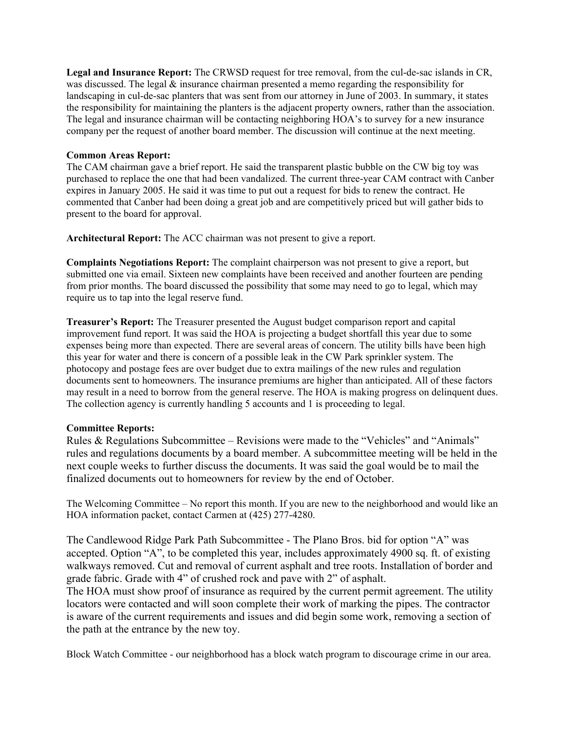**Legal and Insurance Report:** The CRWSD request for tree removal, from the cul-de-sac islands in CR, was discussed. The legal  $\&$  insurance chairman presented a memo regarding the responsibility for landscaping in cul-de-sac planters that was sent from our attorney in June of 2003. In summary, it states the responsibility for maintaining the planters is the adjacent property owners, rather than the association. The legal and insurance chairman will be contacting neighboring HOA's to survey for a new insurance company per the request of another board member. The discussion will continue at the next meeting.

### **Common Areas Report:**

The CAM chairman gave a brief report. He said the transparent plastic bubble on the CW big toy was purchased to replace the one that had been vandalized. The current three-year CAM contract with Canber expires in January 2005. He said it was time to put out a request for bids to renew the contract. He commented that Canber had been doing a great job and are competitively priced but will gather bids to present to the board for approval.

**Architectural Report:** The ACC chairman was not present to give a report.

**Complaints Negotiations Report:** The complaint chairperson was not present to give a report, but submitted one via email. Sixteen new complaints have been received and another fourteen are pending from prior months. The board discussed the possibility that some may need to go to legal, which may require us to tap into the legal reserve fund.

**Treasurer's Report:** The Treasurer presented the August budget comparison report and capital improvement fund report. It was said the HOA is projecting a budget shortfall this year due to some expenses being more than expected. There are several areas of concern. The utility bills have been high this year for water and there is concern of a possible leak in the CW Park sprinkler system. The photocopy and postage fees are over budget due to extra mailings of the new rules and regulation documents sent to homeowners. The insurance premiums are higher than anticipated. All of these factors may result in a need to borrow from the general reserve. The HOA is making progress on delinquent dues. The collection agency is currently handling 5 accounts and 1 is proceeding to legal.

#### **Committee Reports:**

Rules & Regulations Subcommittee – Revisions were made to the "Vehicles" and "Animals" rules and regulations documents by a board member. A subcommittee meeting will be held in the next couple weeks to further discuss the documents. It was said the goal would be to mail the finalized documents out to homeowners for review by the end of October.

The Welcoming Committee – No report this month. If you are new to the neighborhood and would like an HOA information packet, contact Carmen at (425) 277-4280.

The Candlewood Ridge Park Path Subcommittee - The Plano Bros. bid for option "A" was accepted. Option "A", to be completed this year, includes approximately 4900 sq. ft. of existing walkways removed. Cut and removal of current asphalt and tree roots. Installation of border and grade fabric. Grade with 4" of crushed rock and pave with 2" of asphalt.

The HOA must show proof of insurance as required by the current permit agreement. The utility locators were contacted and will soon complete their work of marking the pipes. The contractor is aware of the current requirements and issues and did begin some work, removing a section of the path at the entrance by the new toy.

Block Watch Committee - our neighborhood has a block watch program to discourage crime in our area.